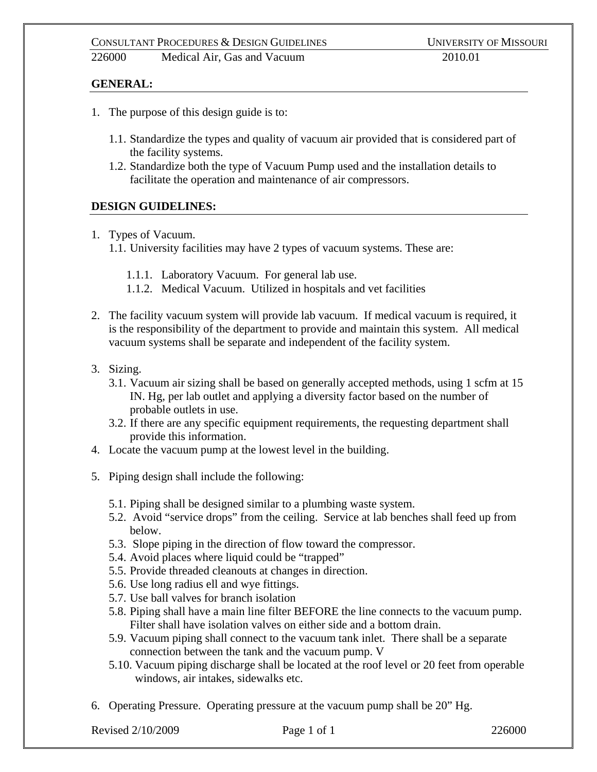226000 Medical Air, Gas and Vacuum 2010.01

## **GENERAL:**

- 1. The purpose of this design guide is to:
	- 1.1. Standardize the types and quality of vacuum air provided that is considered part of the facility systems.
	- 1.2. Standardize both the type of Vacuum Pump used and the installation details to facilitate the operation and maintenance of air compressors.

## **DESIGN GUIDELINES:**

- 1. Types of Vacuum.
	- 1.1. University facilities may have 2 types of vacuum systems. These are:
		- 1.1.1. Laboratory Vacuum. For general lab use.
		- 1.1.2. Medical Vacuum. Utilized in hospitals and vet facilities
- 2. The facility vacuum system will provide lab vacuum. If medical vacuum is required, it is the responsibility of the department to provide and maintain this system. All medical vacuum systems shall be separate and independent of the facility system.
- 3. Sizing.
	- 3.1. Vacuum air sizing shall be based on generally accepted methods, using 1 scfm at 15 IN. Hg, per lab outlet and applying a diversity factor based on the number of probable outlets in use.
	- 3.2. If there are any specific equipment requirements, the requesting department shall provide this information.
- 4. Locate the vacuum pump at the lowest level in the building.
- 5. Piping design shall include the following:
	- 5.1. Piping shall be designed similar to a plumbing waste system.
	- 5.2. Avoid "service drops" from the ceiling. Service at lab benches shall feed up from below.
	- 5.3. Slope piping in the direction of flow toward the compressor.
	- 5.4. Avoid places where liquid could be "trapped"
	- 5.5. Provide threaded cleanouts at changes in direction.
	- 5.6. Use long radius ell and wye fittings.
	- 5.7. Use ball valves for branch isolation
	- 5.8. Piping shall have a main line filter BEFORE the line connects to the vacuum pump. Filter shall have isolation valves on either side and a bottom drain.
	- 5.9. Vacuum piping shall connect to the vacuum tank inlet. There shall be a separate connection between the tank and the vacuum pump. V
	- 5.10. Vacuum piping discharge shall be located at the roof level or 20 feet from operable windows, air intakes, sidewalks etc.
- 6. Operating Pressure. Operating pressure at the vacuum pump shall be 20" Hg.